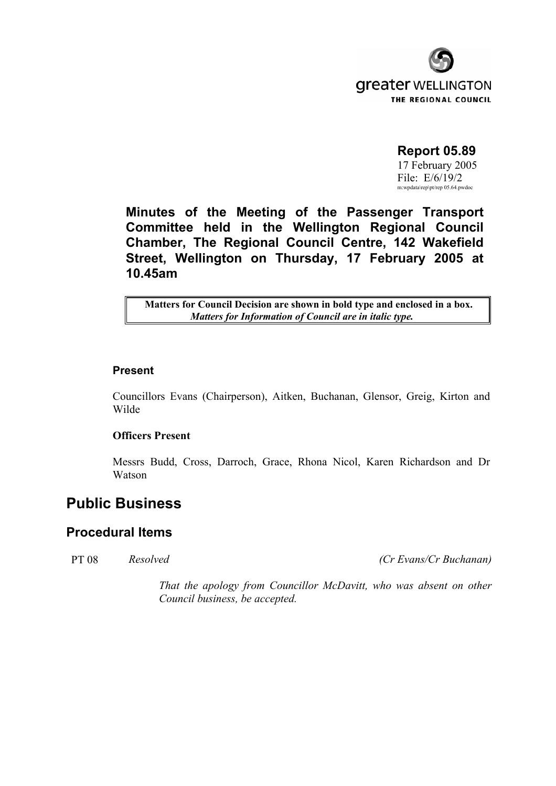

# **Report 05.89**

 17 February 2005 File: E/6/19/2 m:wpdata\rep\pt/rep 05.64.pwdoc

**Minutes of the Meeting of the Passenger Transport Committee held in the Wellington Regional Council Chamber, The Regional Council Centre, 142 Wakefield Street, Wellington on Thursday, 17 February 2005 at 10.45am** 

**Matters for Council Decision are shown in bold type and enclosed in a box.** *Matters for Information of Council are in italic type.* 

### **Present**

 Councillors Evans (Chairperson), Aitken, Buchanan, Glensor, Greig, Kirton and Wilde

### **Officers Present**

Messrs Budd, Cross, Darroch, Grace, Rhona Nicol, Karen Richardson and Dr Watson

# **Public Business**

# **Procedural Items**

PT 08 *Resolved (Cr Evans/Cr Buchanan)*

*That the apology from Councillor McDavitt, who was absent on other Council business, be accepted.*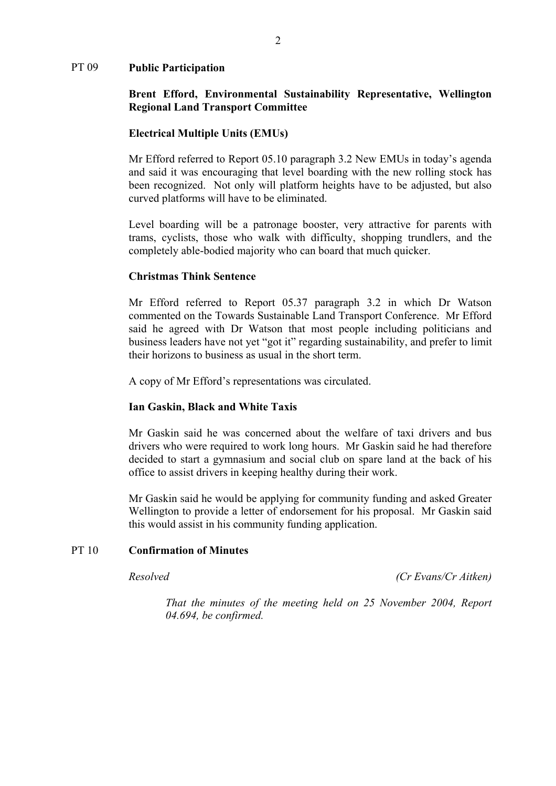#### PT 09 **Public Participation**

## **Brent Efford, Environmental Sustainability Representative, Wellington Regional Land Transport Committee**

#### **Electrical Multiple Units (EMUs)**

 Mr Efford referred to Report 05.10 paragraph 3.2 New EMUs in today's agenda and said it was encouraging that level boarding with the new rolling stock has been recognized. Not only will platform heights have to be adjusted, but also curved platforms will have to be eliminated.

Level boarding will be a patronage booster, very attractive for parents with trams, cyclists, those who walk with difficulty, shopping trundlers, and the completely able-bodied majority who can board that much quicker.

#### **Christmas Think Sentence**

 Mr Efford referred to Report 05.37 paragraph 3.2 in which Dr Watson commented on the Towards Sustainable Land Transport Conference. Mr Efford said he agreed with Dr Watson that most people including politicians and business leaders have not yet "got it" regarding sustainability, and prefer to limit their horizons to business as usual in the short term.

A copy of Mr Efford's representations was circulated.

#### **Ian Gaskin, Black and White Taxis**

 Mr Gaskin said he was concerned about the welfare of taxi drivers and bus drivers who were required to work long hours. Mr Gaskin said he had therefore decided to start a gymnasium and social club on spare land at the back of his office to assist drivers in keeping healthy during their work.

Mr Gaskin said he would be applying for community funding and asked Greater Wellington to provide a letter of endorsement for his proposal. Mr Gaskin said this would assist in his community funding application.

## PT 10 **Confirmation of Minutes**

*Resolved (Cr Evans/Cr Aitken)*

 *That the minutes of the meeting held on 25 November 2004, Report 04.694, be confirmed.*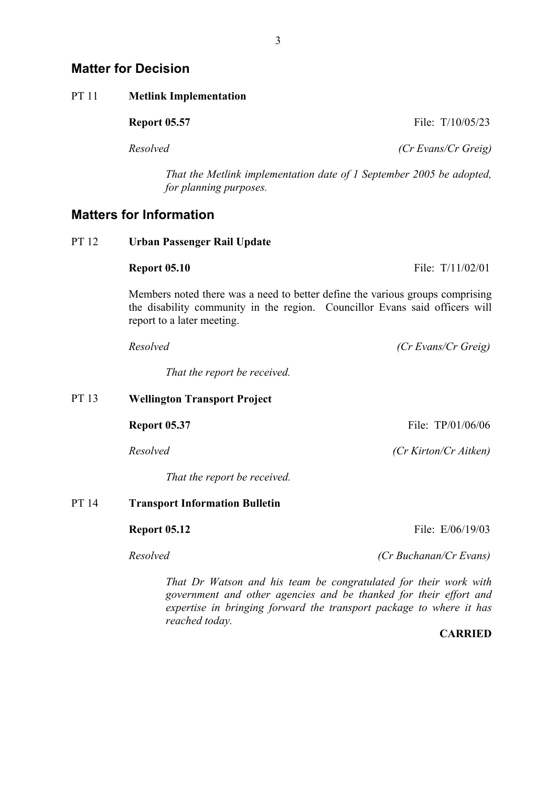| PT 11 | <b>Metlink Implementation</b>                                                                                                                                                              |                                                                                                                                                                                                              |
|-------|--------------------------------------------------------------------------------------------------------------------------------------------------------------------------------------------|--------------------------------------------------------------------------------------------------------------------------------------------------------------------------------------------------------------|
|       | <b>Report 05.57</b>                                                                                                                                                                        | File: T/10/05/23                                                                                                                                                                                             |
|       | Resolved                                                                                                                                                                                   | (Cr Evans/Cr Greig)                                                                                                                                                                                          |
|       | That the Metlink implementation date of 1 September 2005 be adopted,<br>for planning purposes.                                                                                             |                                                                                                                                                                                                              |
|       | <b>Matters for Information</b>                                                                                                                                                             |                                                                                                                                                                                                              |
| PT 12 | <b>Urban Passenger Rail Update</b>                                                                                                                                                         |                                                                                                                                                                                                              |
|       | <b>Report 05.10</b>                                                                                                                                                                        | File: T/11/02/01                                                                                                                                                                                             |
|       | Members noted there was a need to better define the various groups comprising<br>the disability community in the region. Councillor Evans said officers will<br>report to a later meeting. |                                                                                                                                                                                                              |
|       | Resolved                                                                                                                                                                                   | (Cr Evans/Cr Greig)                                                                                                                                                                                          |
|       | That the report be received.                                                                                                                                                               |                                                                                                                                                                                                              |
| PT 13 | <b>Wellington Transport Project</b>                                                                                                                                                        |                                                                                                                                                                                                              |
|       | <b>Report 05.37</b>                                                                                                                                                                        | File: TP/01/06/06                                                                                                                                                                                            |
|       | Resolved                                                                                                                                                                                   | (Cr Kirton/Cr Aitken)                                                                                                                                                                                        |
|       | That the report be received.                                                                                                                                                               |                                                                                                                                                                                                              |
| PT 14 | <b>Transport Information Bulletin</b>                                                                                                                                                      |                                                                                                                                                                                                              |
|       | <b>Report 05.12</b>                                                                                                                                                                        | File: E/06/19/03                                                                                                                                                                                             |
|       | Resolved                                                                                                                                                                                   | (Cr Buchanan/Cr Evans)                                                                                                                                                                                       |
|       |                                                                                                                                                                                            | That Dr Watson and his team be congratulated for their work with<br>government and other agencies and be thanked for their effort and<br>expertise in bringing forward the transport package to where it has |

*reached today.* 

**CARRIED**